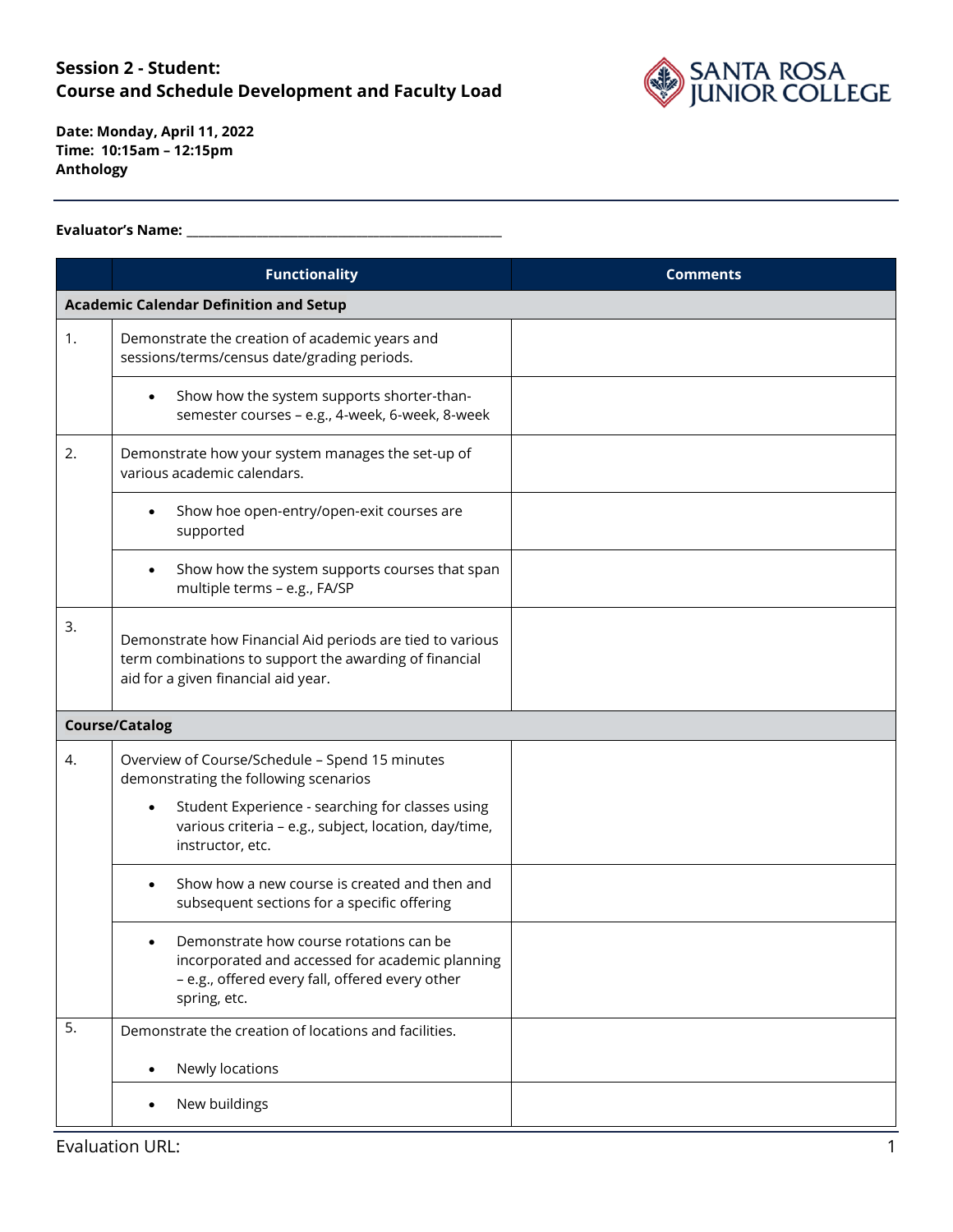

**Date: Monday, April 11, 2022 Time: 10:15am – 12:15pm Anthology**

#### **Evaluator's Name: \_\_\_\_\_\_\_\_\_\_\_\_\_\_\_\_\_\_\_\_\_\_\_\_\_\_\_\_\_\_\_\_\_\_\_\_\_\_\_\_\_\_\_\_\_\_\_\_\_\_\_\_\_\_**

|    | <b>Functionality</b>                                                                                                                                          | <b>Comments</b> |
|----|---------------------------------------------------------------------------------------------------------------------------------------------------------------|-----------------|
|    | <b>Academic Calendar Definition and Setup</b>                                                                                                                 |                 |
| 1. | Demonstrate the creation of academic years and<br>sessions/terms/census date/grading periods.                                                                 |                 |
|    | Show how the system supports shorter-than-<br>semester courses - e.g., 4-week, 6-week, 8-week                                                                 |                 |
| 2. | Demonstrate how your system manages the set-up of<br>various academic calendars.                                                                              |                 |
|    | Show hoe open-entry/open-exit courses are<br>supported                                                                                                        |                 |
|    | Show how the system supports courses that span<br>multiple terms - e.g., FA/SP                                                                                |                 |
| 3. | Demonstrate how Financial Aid periods are tied to various<br>term combinations to support the awarding of financial<br>aid for a given financial aid year.    |                 |
|    | <b>Course/Catalog</b>                                                                                                                                         |                 |
| 4. | Overview of Course/Schedule - Spend 15 minutes<br>demonstrating the following scenarios                                                                       |                 |
|    | Student Experience - searching for classes using<br>various criteria - e.g., subject, location, day/time,<br>instructor, etc.                                 |                 |
|    | Show how a new course is created and then and<br>subsequent sections for a specific offering                                                                  |                 |
|    | Demonstrate how course rotations can be<br>incorporated and accessed for academic planning<br>- e.g., offered every fall, offered every other<br>spring, etc. |                 |
| 5. | Demonstrate the creation of locations and facilities.                                                                                                         |                 |
|    | Newly locations                                                                                                                                               |                 |
|    | New buildings                                                                                                                                                 |                 |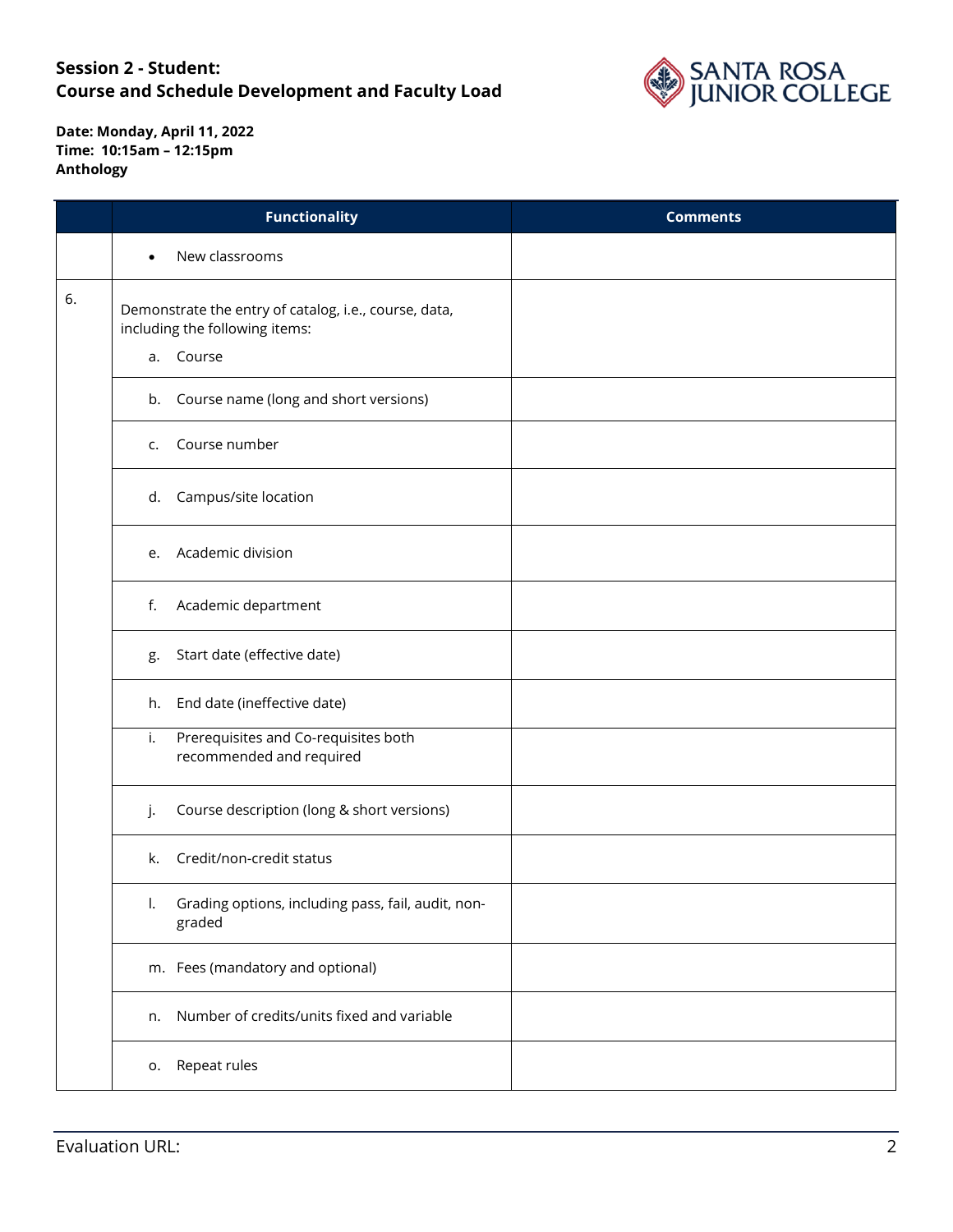

|    | <b>Functionality</b>                                                                    | <b>Comments</b> |
|----|-----------------------------------------------------------------------------------------|-----------------|
|    | New classrooms                                                                          |                 |
| 6. | Demonstrate the entry of catalog, i.e., course, data,<br>including the following items: |                 |
|    | a. Course                                                                               |                 |
|    | b. Course name (long and short versions)                                                |                 |
|    | Course number<br>C.                                                                     |                 |
|    | d. Campus/site location                                                                 |                 |
|    | e. Academic division                                                                    |                 |
|    | Academic department<br>f.                                                               |                 |
|    | Start date (effective date)<br>g.                                                       |                 |
|    | End date (ineffective date)<br>h.                                                       |                 |
|    | Prerequisites and Co-requisites both<br>i.<br>recommended and required                  |                 |
|    | Course description (long & short versions)<br>j.                                        |                 |
|    | Credit/non-credit status<br>k.                                                          |                 |
|    | Grading options, including pass, fail, audit, non-<br>I.<br>graded                      |                 |
|    | m. Fees (mandatory and optional)                                                        |                 |
|    | Number of credits/units fixed and variable<br>n.                                        |                 |
|    | o. Repeat rules                                                                         |                 |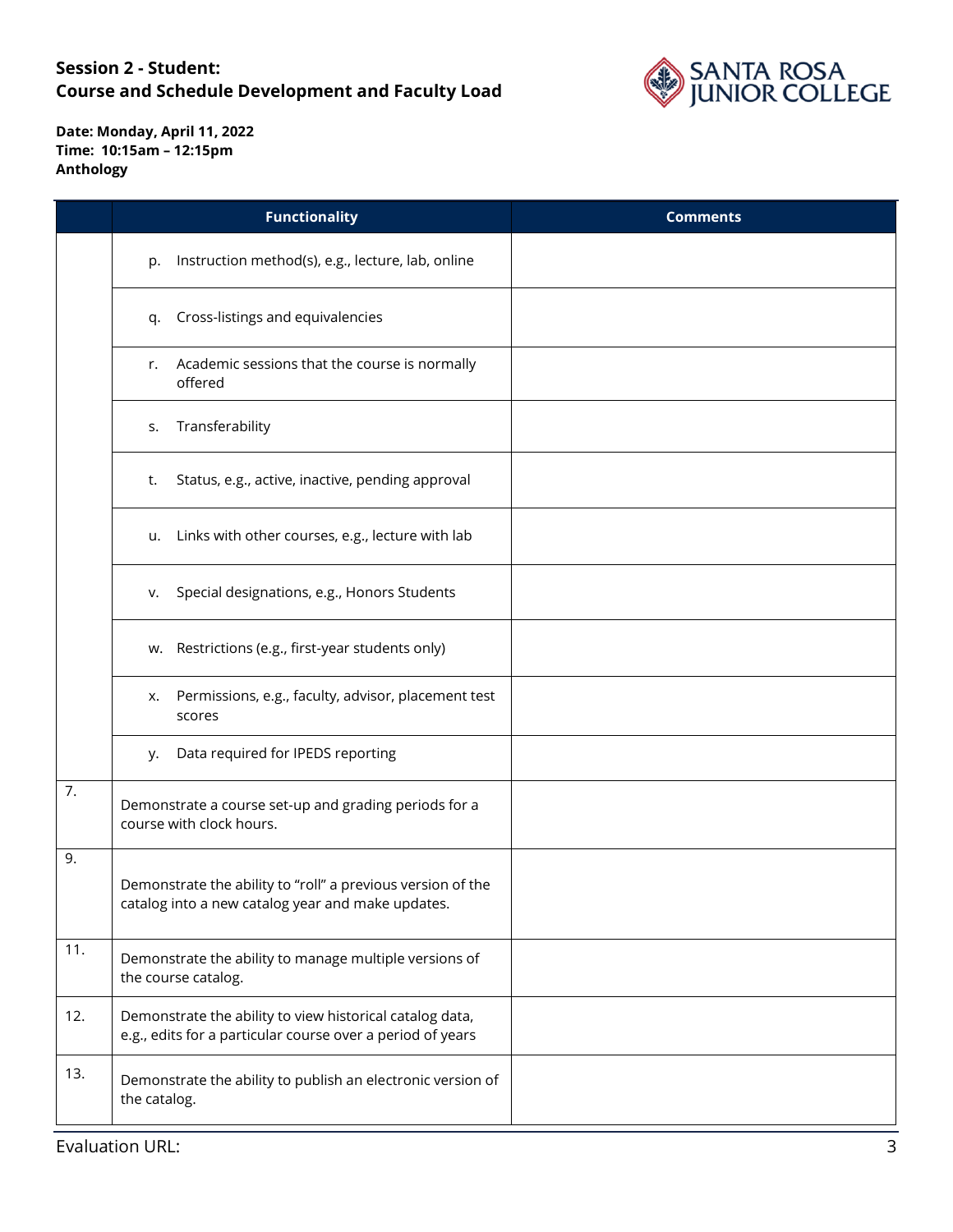

|     | <b>Functionality</b>                                                                                                   | <b>Comments</b> |
|-----|------------------------------------------------------------------------------------------------------------------------|-----------------|
|     | Instruction method(s), e.g., lecture, lab, online<br>p.                                                                |                 |
|     | Cross-listings and equivalencies<br>q.                                                                                 |                 |
|     | Academic sessions that the course is normally<br>r.<br>offered                                                         |                 |
|     | Transferability<br>S.                                                                                                  |                 |
|     | Status, e.g., active, inactive, pending approval<br>t.                                                                 |                 |
|     | Links with other courses, e.g., lecture with lab<br>u.                                                                 |                 |
|     | Special designations, e.g., Honors Students<br>v.                                                                      |                 |
|     | w. Restrictions (e.g., first-year students only)                                                                       |                 |
|     | Permissions, e.g., faculty, advisor, placement test<br>х.<br>scores                                                    |                 |
|     | Data required for IPEDS reporting<br>у.                                                                                |                 |
| 7.  | Demonstrate a course set-up and grading periods for a<br>course with clock hours.                                      |                 |
| 9.  | Demonstrate the ability to "roll" a previous version of the<br>catalog into a new catalog year and make updates.       |                 |
| 11. | Demonstrate the ability to manage multiple versions of<br>the course catalog.                                          |                 |
| 12. | Demonstrate the ability to view historical catalog data,<br>e.g., edits for a particular course over a period of years |                 |
| 13. | Demonstrate the ability to publish an electronic version of<br>the catalog.                                            |                 |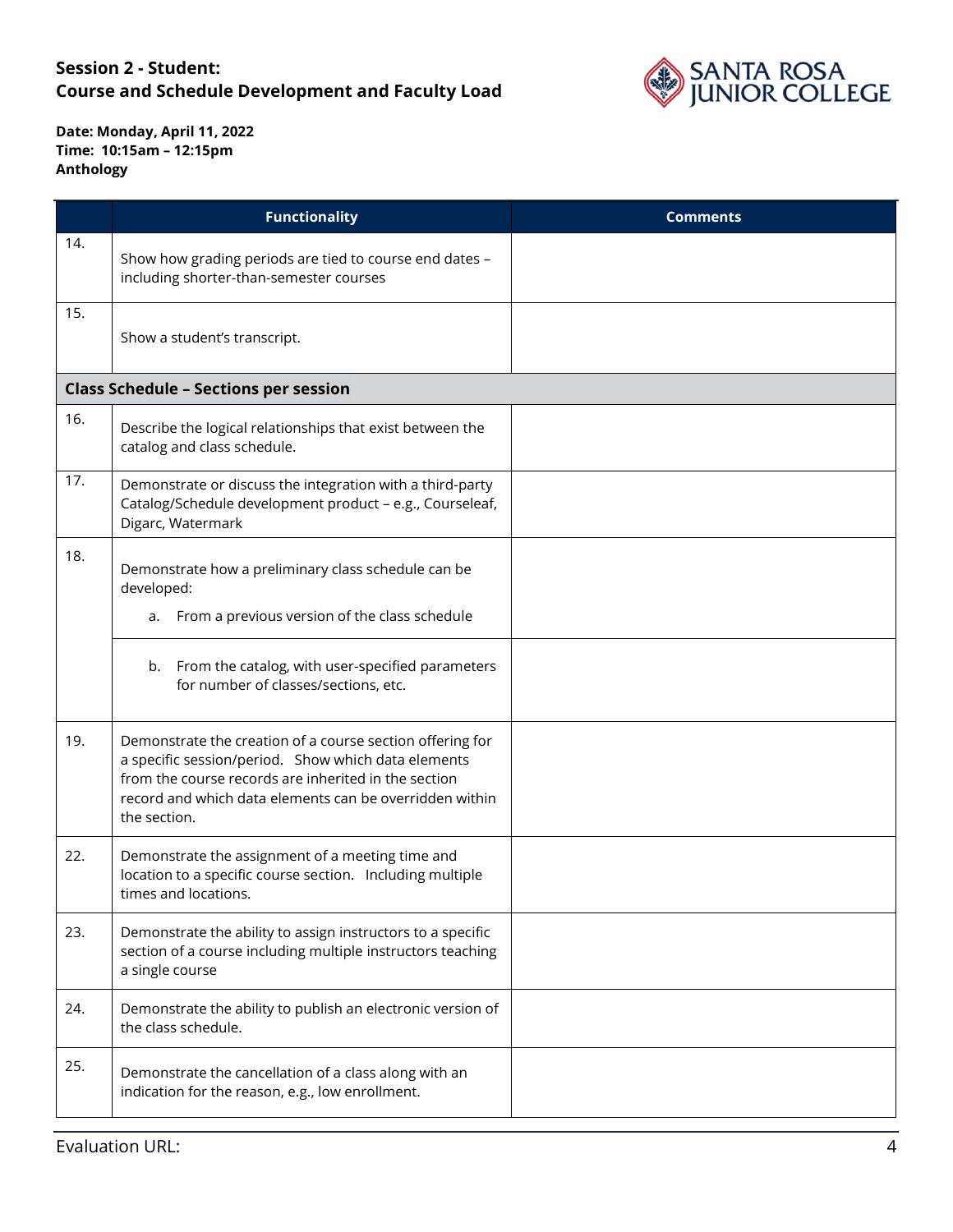

|     | <b>Functionality</b>                                                                                                                                                                                                                                | <b>Comments</b> |
|-----|-----------------------------------------------------------------------------------------------------------------------------------------------------------------------------------------------------------------------------------------------------|-----------------|
| 14. | Show how grading periods are tied to course end dates -<br>including shorter-than-semester courses                                                                                                                                                  |                 |
| 15. | Show a student's transcript.                                                                                                                                                                                                                        |                 |
|     | <b>Class Schedule - Sections per session</b>                                                                                                                                                                                                        |                 |
| 16. | Describe the logical relationships that exist between the<br>catalog and class schedule.                                                                                                                                                            |                 |
| 17. | Demonstrate or discuss the integration with a third-party<br>Catalog/Schedule development product - e.g., Courseleaf,<br>Digarc, Watermark                                                                                                          |                 |
| 18. | Demonstrate how a preliminary class schedule can be<br>developed:<br>a. From a previous version of the class schedule                                                                                                                               |                 |
|     | b. From the catalog, with user-specified parameters<br>for number of classes/sections, etc.                                                                                                                                                         |                 |
| 19. | Demonstrate the creation of a course section offering for<br>a specific session/period. Show which data elements<br>from the course records are inherited in the section<br>record and which data elements can be overridden within<br>the section. |                 |
| 22. | Demonstrate the assignment of a meeting time and<br>location to a specific course section. Including multiple<br>times and locations.                                                                                                               |                 |
| 23. | Demonstrate the ability to assign instructors to a specific<br>section of a course including multiple instructors teaching<br>a single course                                                                                                       |                 |
| 24. | Demonstrate the ability to publish an electronic version of<br>the class schedule.                                                                                                                                                                  |                 |
| 25. | Demonstrate the cancellation of a class along with an<br>indication for the reason, e.g., low enrollment.                                                                                                                                           |                 |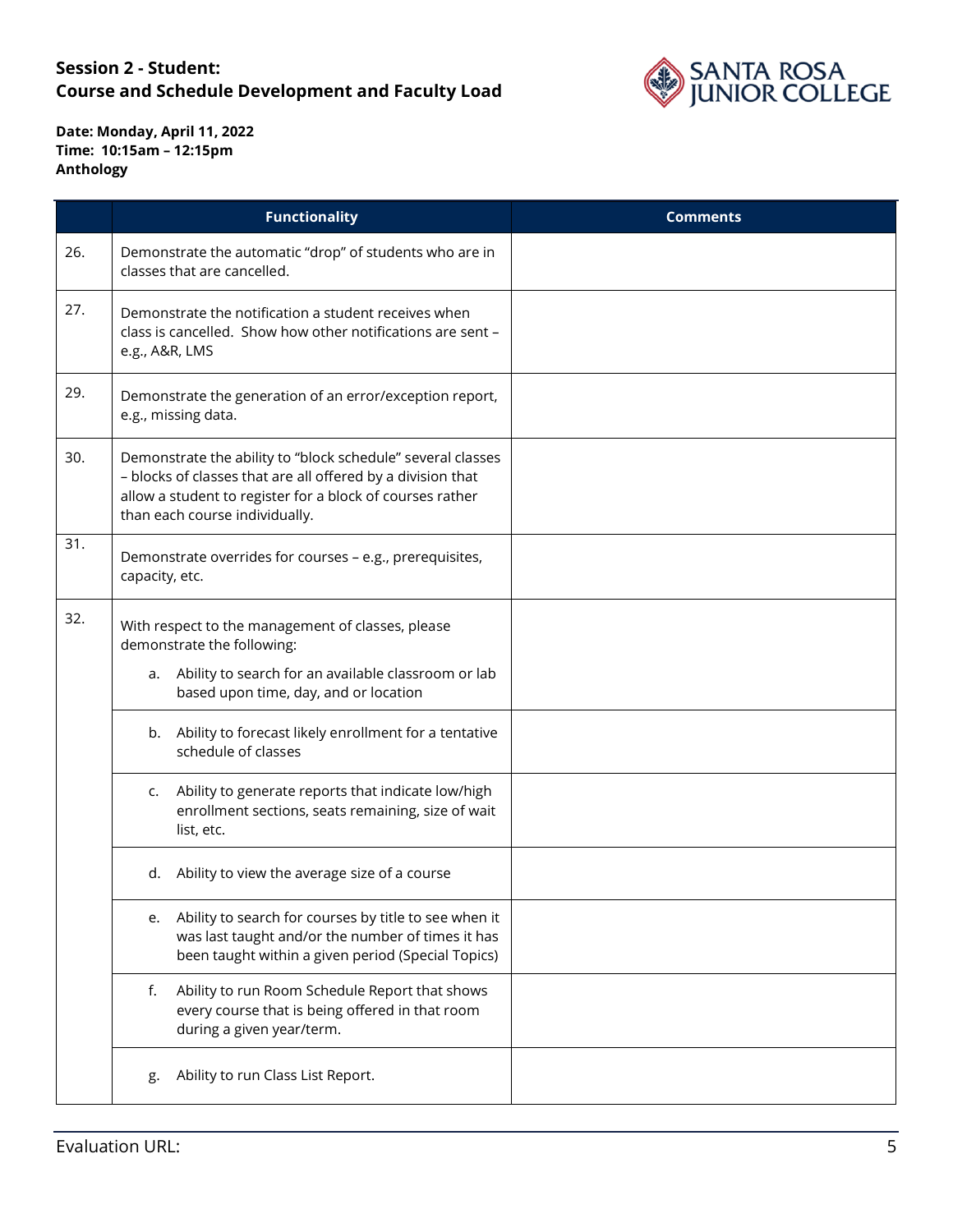

|     | <b>Functionality</b>                                                                                                                                                                                                      | <b>Comments</b> |
|-----|---------------------------------------------------------------------------------------------------------------------------------------------------------------------------------------------------------------------------|-----------------|
| 26. | Demonstrate the automatic "drop" of students who are in<br>classes that are cancelled.                                                                                                                                    |                 |
| 27. | Demonstrate the notification a student receives when<br>class is cancelled. Show how other notifications are sent -<br>e.g., A&R, LMS                                                                                     |                 |
| 29. | Demonstrate the generation of an error/exception report,<br>e.g., missing data.                                                                                                                                           |                 |
| 30. | Demonstrate the ability to "block schedule" several classes<br>- blocks of classes that are all offered by a division that<br>allow a student to register for a block of courses rather<br>than each course individually. |                 |
| 31. | Demonstrate overrides for courses - e.g., prerequisites,<br>capacity, etc.                                                                                                                                                |                 |
| 32. | With respect to the management of classes, please<br>demonstrate the following:                                                                                                                                           |                 |
|     | a. Ability to search for an available classroom or lab<br>based upon time, day, and or location                                                                                                                           |                 |
|     | b. Ability to forecast likely enrollment for a tentative<br>schedule of classes                                                                                                                                           |                 |
|     | Ability to generate reports that indicate low/high<br>c.<br>enrollment sections, seats remaining, size of wait<br>list, etc.                                                                                              |                 |
|     | d. Ability to view the average size of a course                                                                                                                                                                           |                 |
|     | Ability to search for courses by title to see when it<br>e.<br>was last taught and/or the number of times it has<br>been taught within a given period (Special Topics)                                                    |                 |
|     | Ability to run Room Schedule Report that shows<br>f.<br>every course that is being offered in that room<br>during a given year/term.                                                                                      |                 |
|     | Ability to run Class List Report.<br>g.                                                                                                                                                                                   |                 |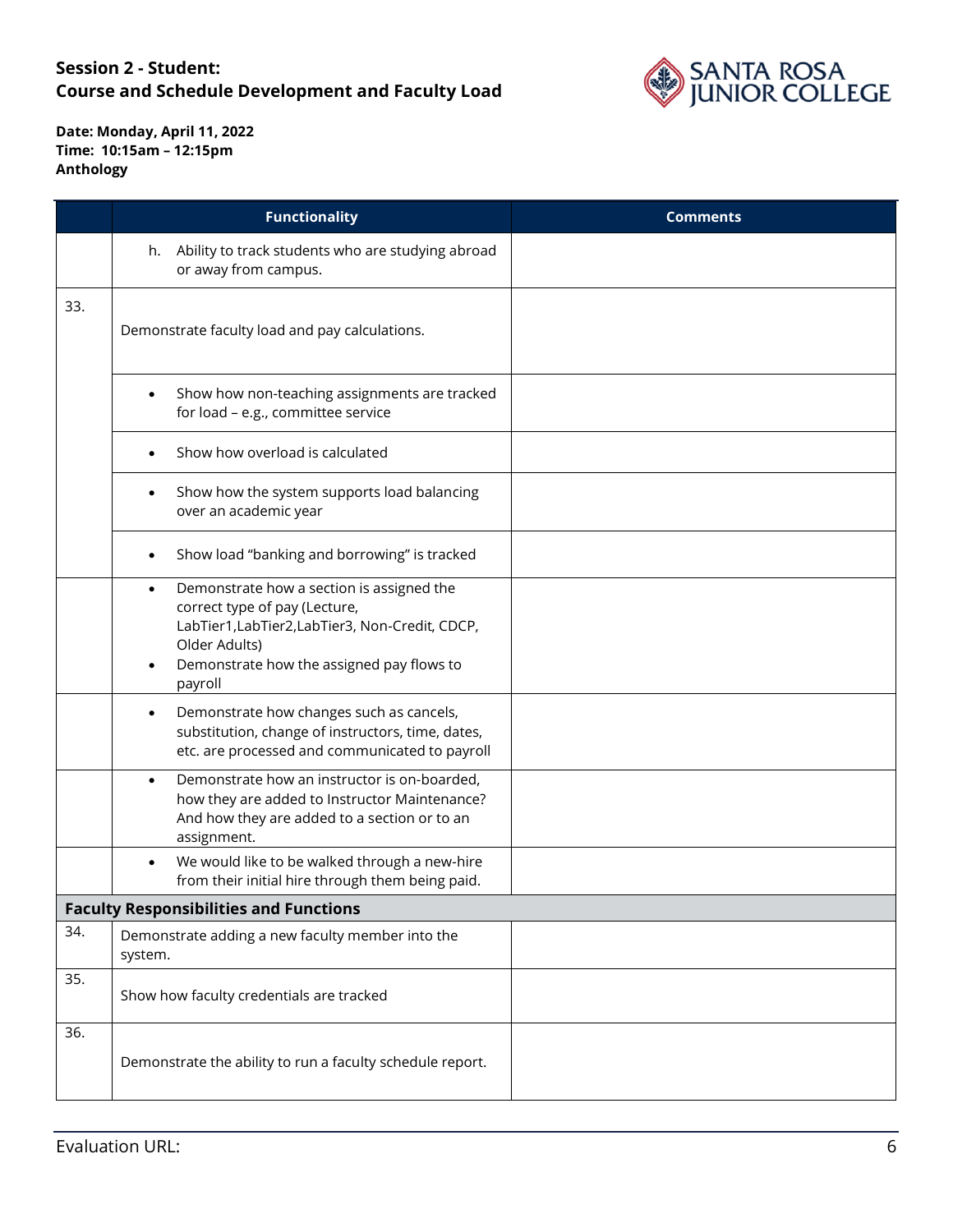

|     | <b>Functionality</b>                                                                                                                                                                                                | <b>Comments</b> |
|-----|---------------------------------------------------------------------------------------------------------------------------------------------------------------------------------------------------------------------|-----------------|
|     | h. Ability to track students who are studying abroad<br>or away from campus.                                                                                                                                        |                 |
| 33. | Demonstrate faculty load and pay calculations.                                                                                                                                                                      |                 |
|     | Show how non-teaching assignments are tracked<br>$\bullet$<br>for load - e.g., committee service                                                                                                                    |                 |
|     | Show how overload is calculated                                                                                                                                                                                     |                 |
|     | Show how the system supports load balancing<br>over an academic year                                                                                                                                                |                 |
|     | Show load "banking and borrowing" is tracked                                                                                                                                                                        |                 |
|     | Demonstrate how a section is assigned the<br>$\bullet$<br>correct type of pay (Lecture,<br>LabTier1, LabTier2, LabTier3, Non-Credit, CDCP,<br>Older Adults)<br>Demonstrate how the assigned pay flows to<br>payroll |                 |
|     | Demonstrate how changes such as cancels,<br>٠<br>substitution, change of instructors, time, dates,<br>etc. are processed and communicated to payroll                                                                |                 |
|     | Demonstrate how an instructor is on-boarded,<br>$\bullet$<br>how they are added to Instructor Maintenance?<br>And how they are added to a section or to an<br>assignment.                                           |                 |
|     | We would like to be walked through a new-hire<br>from their initial hire through them being paid.                                                                                                                   |                 |
|     | <b>Faculty Responsibilities and Functions</b>                                                                                                                                                                       |                 |
| 34. | Demonstrate adding a new faculty member into the<br>system.                                                                                                                                                         |                 |
| 35. | Show how faculty credentials are tracked                                                                                                                                                                            |                 |
| 36. | Demonstrate the ability to run a faculty schedule report.                                                                                                                                                           |                 |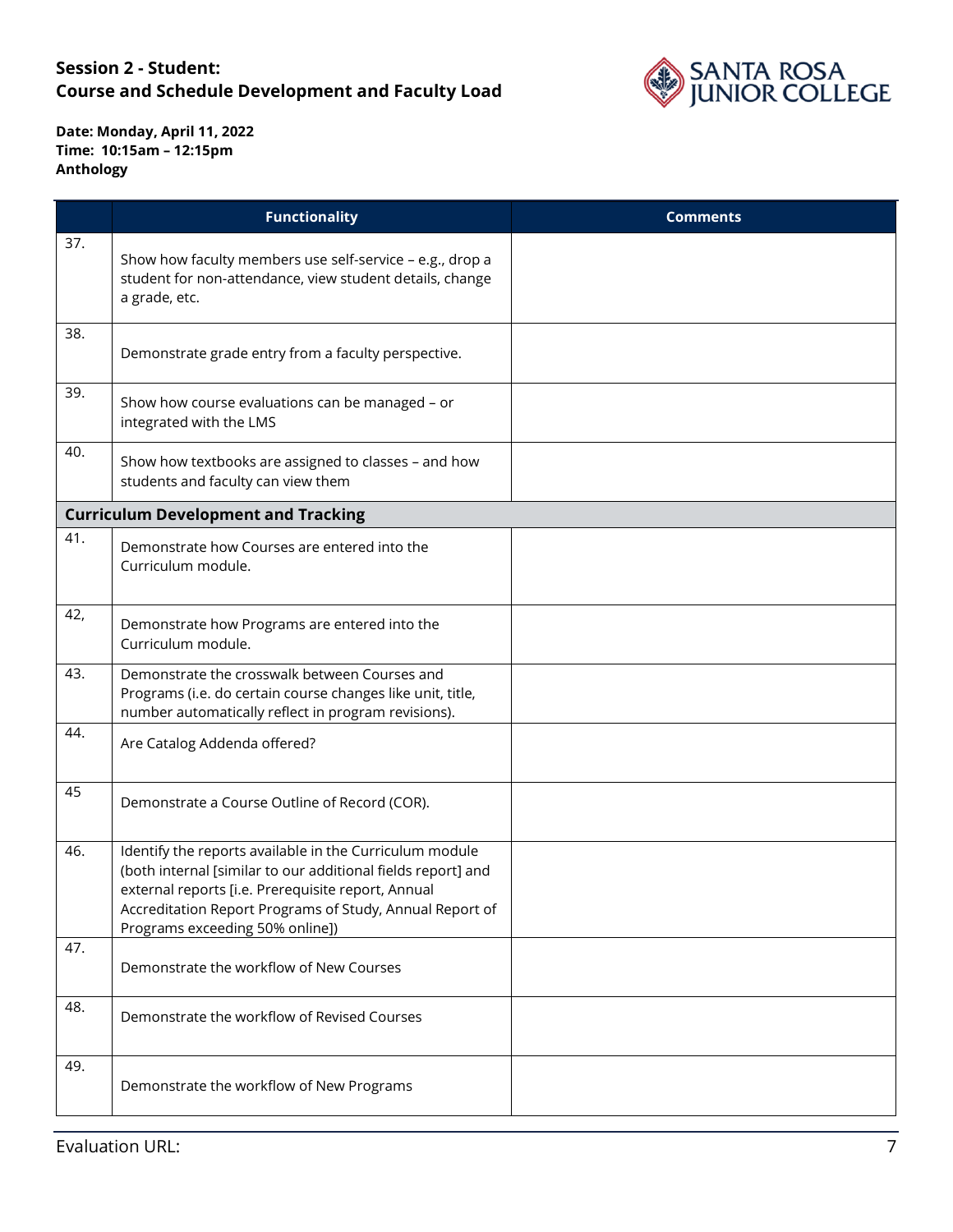

|     | <b>Functionality</b>                                                                                                                                                                                                                                                         | <b>Comments</b> |
|-----|------------------------------------------------------------------------------------------------------------------------------------------------------------------------------------------------------------------------------------------------------------------------------|-----------------|
| 37. | Show how faculty members use self-service - e.g., drop a<br>student for non-attendance, view student details, change<br>a grade, etc.                                                                                                                                        |                 |
| 38. | Demonstrate grade entry from a faculty perspective.                                                                                                                                                                                                                          |                 |
| 39. | Show how course evaluations can be managed - or<br>integrated with the LMS                                                                                                                                                                                                   |                 |
| 40. | Show how textbooks are assigned to classes - and how<br>students and faculty can view them                                                                                                                                                                                   |                 |
|     | <b>Curriculum Development and Tracking</b>                                                                                                                                                                                                                                   |                 |
| 41. | Demonstrate how Courses are entered into the<br>Curriculum module.                                                                                                                                                                                                           |                 |
| 42, | Demonstrate how Programs are entered into the<br>Curriculum module.                                                                                                                                                                                                          |                 |
| 43. | Demonstrate the crosswalk between Courses and<br>Programs (i.e. do certain course changes like unit, title,<br>number automatically reflect in program revisions).                                                                                                           |                 |
| 44. | Are Catalog Addenda offered?                                                                                                                                                                                                                                                 |                 |
| 45  | Demonstrate a Course Outline of Record (COR).                                                                                                                                                                                                                                |                 |
| 46. | Identify the reports available in the Curriculum module<br>(both internal [similar to our additional fields report] and<br>external reports [i.e. Prerequisite report, Annual<br>Accreditation Report Programs of Study, Annual Report of<br>Programs exceeding 50% online]) |                 |
| 47. | Demonstrate the workflow of New Courses                                                                                                                                                                                                                                      |                 |
| 48. | Demonstrate the workflow of Revised Courses                                                                                                                                                                                                                                  |                 |
| 49. | Demonstrate the workflow of New Programs                                                                                                                                                                                                                                     |                 |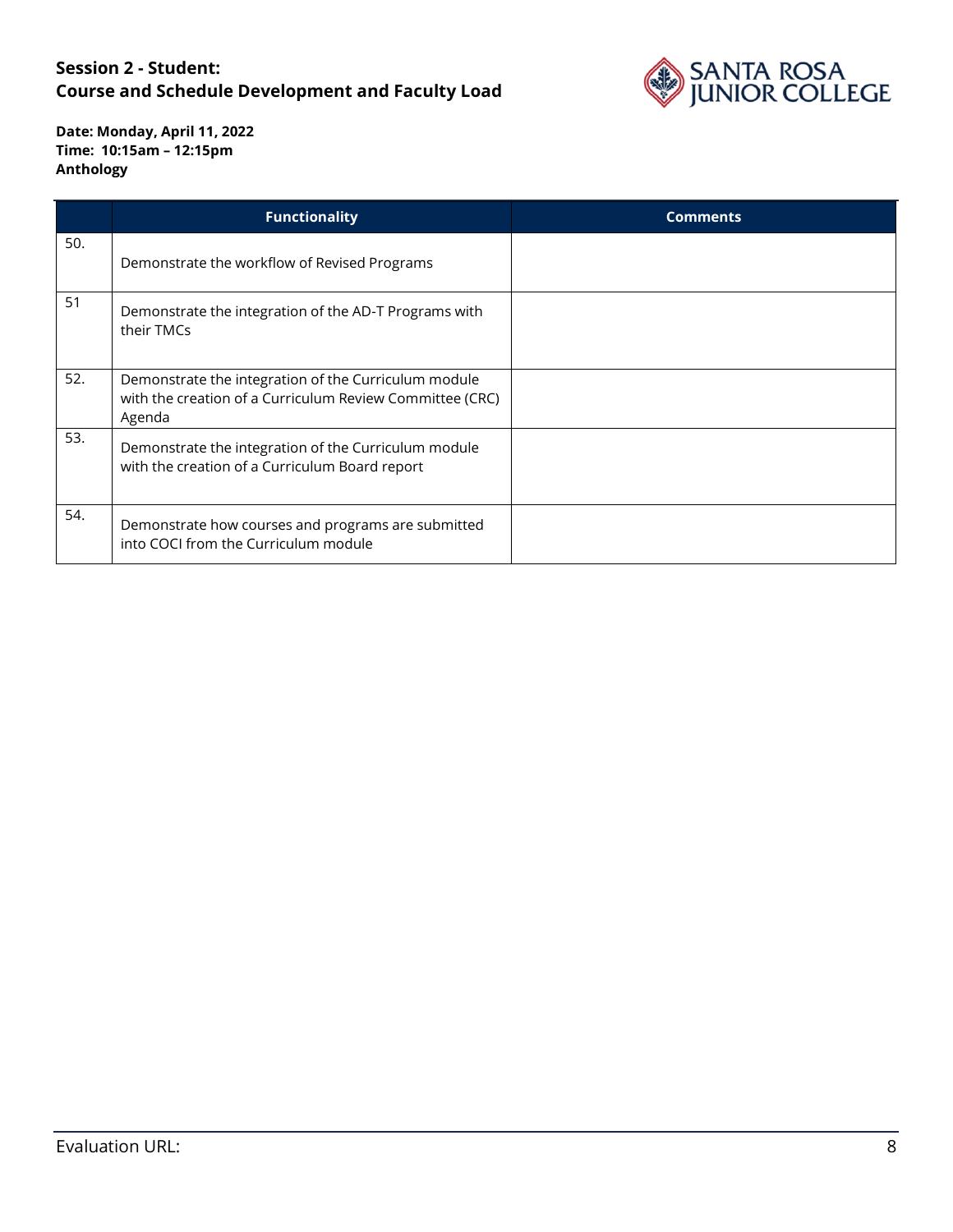

|     | <b>Functionality</b>                                                                                                       | <b>Comments</b> |
|-----|----------------------------------------------------------------------------------------------------------------------------|-----------------|
| 50. | Demonstrate the workflow of Revised Programs                                                                               |                 |
| 51  | Demonstrate the integration of the AD-T Programs with<br>their TMCs                                                        |                 |
| 52. | Demonstrate the integration of the Curriculum module<br>with the creation of a Curriculum Review Committee (CRC)<br>Agenda |                 |
| 53. | Demonstrate the integration of the Curriculum module<br>with the creation of a Curriculum Board report                     |                 |
| 54. | Demonstrate how courses and programs are submitted<br>into COCI from the Curriculum module                                 |                 |